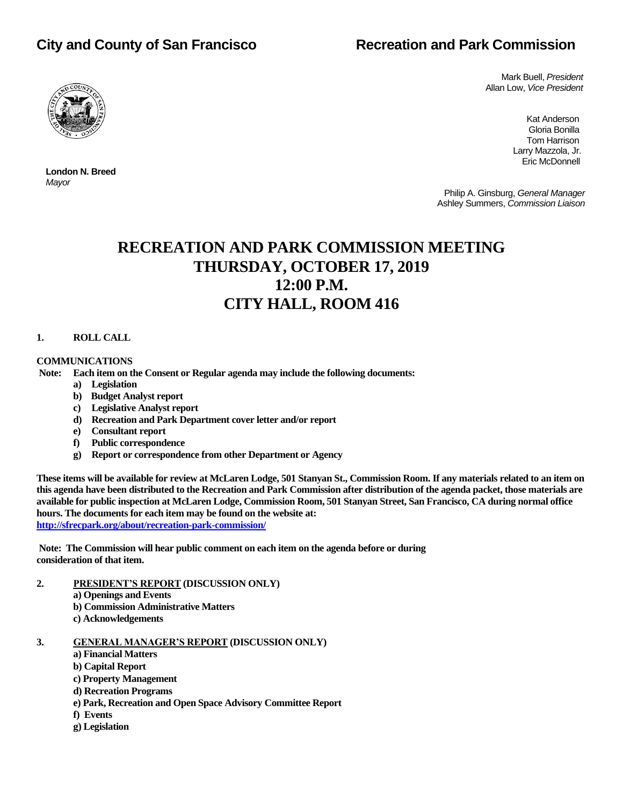# **City and County of San Francisco Recreation and Park Commission**



 **London N. Breed**

*Mayor*

 Mark Buell, *President* Allan Low, *Vice President*

Kat Anderson (1999) and the control of the control of the control of the control of the control of the control of the control of the control of the control of the control of the control of the control of the control of the Gloria Bonilla Tom Harrison Larry Mazzola, Jr. Eric McDonnell

> Philip A. Ginsburg, *General Manager* Ashley Summers, *Commission Liaison*

# **RECREATION AND PARK COMMISSION MEETING THURSDAY, OCTOBER 17, 2019 12:00 P.M. CITY HALL, ROOM 416**

# **1. ROLL CALL**

# **COMMUNICATIONS**

**Note: Each item on the Consent or Regular agenda may include the following documents:**

- **a) Legislation**
- **b) Budget Analyst report**
- **c) Legislative Analyst report**
- **d) Recreation and Park Department cover letter and/or report**
- **e) Consultant report**
- **f) Public correspondence**
- **g) Report or correspondence from other Department or Agency**

**These items will be available for review at McLaren Lodge, 501 Stanyan St., Commission Room. If any materials related to an item on this agenda have been distributed to the Recreation and Park Commission after distribution of the agenda packet, those materials are available for public inspection at McLaren Lodge, Commission Room, 501 Stanyan Street, San Francisco, CA during normal office hours. The documents for each item may be found on the website at: <http://sfrecpark.org/about/recreation-park-commission/>**

**Note: The Commission will hear public comment on each item on the agenda before or during consideration of that item.**

- **2. PRESIDENT'S REPORT (DISCUSSION ONLY)**
	- **a) Openings and Events**
	- **b) Commission Administrative Matters**
	- **c) Acknowledgements**

**3. GENERAL MANAGER'S REPORT (DISCUSSION ONLY)**

- **a) Financial Matters**
- **b) Capital Report**
- **c) Property Management**
- **d) Recreation Programs**
- **e) Park, Recreation and Open Space Advisory Committee Report**
- **f) Events**
- **g) Legislation**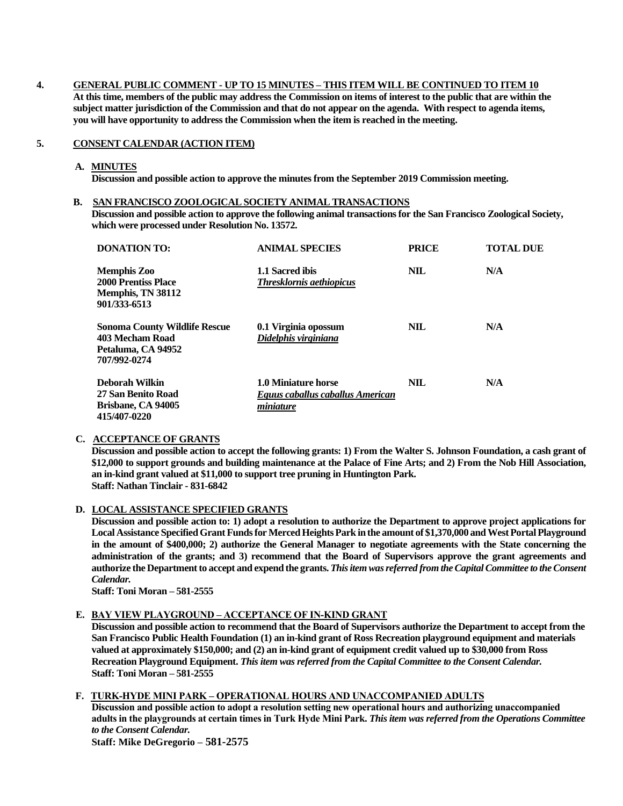## **4. GENERAL PUBLIC COMMENT - UP TO 15 MINUTES – THIS ITEM WILL BE CONTINUED TO ITEM 10**

**At this time, members of the public may address the Commission on items of interest to the public that are within the subject matter jurisdiction of the Commission and that do not appear on the agenda. With respect to agenda items, you will have opportunity to address the Commission when the item is reached in the meeting.**

## **5. CONSENT CALENDAR (ACTION ITEM)**

#### **A. MINUTES**

**Discussion and possible action to approve the minutes from the September 2019 Commission meeting.**

#### **B. SAN FRANCISCO ZOOLOGICAL SOCIETY ANIMAL TRANSACTIONS**

**Discussion and possible action to approve the following animal transactionsfor the San Francisco Zoological Society, which were processed under Resolution No. 13572.**

| DONATION TO:                                                                           | <b>ANIMAL SPECIES</b>                                                | <b>PRICE</b> | <b>TOTAL DUE</b> |
|----------------------------------------------------------------------------------------|----------------------------------------------------------------------|--------------|------------------|
| Memphis Zoo<br>2000 Prentiss Place<br>Memphis, TN 38112<br>901/333-6513                | 1.1 Sacred ibis<br><b>Thresklornis aethiopicus</b>                   | <b>NIL</b>   | N/A              |
| Sonoma County Wildlife Rescue<br>403 Mecham Road<br>Petaluma, CA 94952<br>707/992-0274 | 0.1 Virginia opossum<br>Didelphis virginiana                         | NIL          | N/A              |
| Deborah Wilkin<br>27 San Benito Road<br>Brisbane, CA 94005<br><b>415/407-0220</b>      | 1.0 Miniature horse<br>Equus caballus caballus American<br>miniature | NIL          | N/A              |

# **C. ACCEPTANCE OF GRANTS**

**Discussion and possible action to accept the following grants: 1) From the Walter S. Johnson Foundation, a cash grant of \$12,000 to support grounds and building maintenance at the Palace of Fine Arts; and 2) From the Nob Hill Association, an in-kind grant valued at \$11,000 to support tree pruning in Huntington Park. Staff: Nathan Tinclair - 831-6842**

#### **D. LOCAL ASSISTANCE SPECIFIED GRANTS**

**Discussion and possible action to: 1) adopt a resolution to authorize the Department to approve project applications for Local Assistance Specified Grant Funds for Merced Heights Park in the amount of \$1,370,000 and West Portal Playground in the amount of \$400,000; 2) authorize the General Manager to negotiate agreements with the State concerning the administration of the grants; and 3) recommend that the Board of Supervisors approve the grant agreements and authorize the Department to accept and expend the grants.** *This item was referred from the Capital Committee to the Consent Calendar.*

**Staff: Toni Moran – 581-2555**

## **E. BAY VIEW PLAYGROUND – ACCEPTANCE OF IN-KIND GRANT**

**Discussion and possible action to recommend that the Board of Supervisors authorize the Department to accept from the San Francisco Public Health Foundation (1) an in-kind grant of Ross Recreation playground equipment and materials valued at approximately \$150,000; and (2) an in-kind grant of equipment credit valued up to \$30,000 from Ross Recreation Playground Equipment.** *This item was referred from the Capital Committee to the Consent Calendar.* **Staff: Toni Moran – 581-2555**

# **F. TURK-HYDE MINI PARK – OPERATIONAL HOURS AND UNACCOMPANIED ADULTS**

**Discussion and possible action to adopt a resolution setting new operational hours and authorizing unaccompanied adults in the playgrounds at certain times in Turk Hyde Mini Park.** *This item was referred from the Operations Committee to the Consent Calendar.*

**Staff: Mike DeGregorio – 581-2575**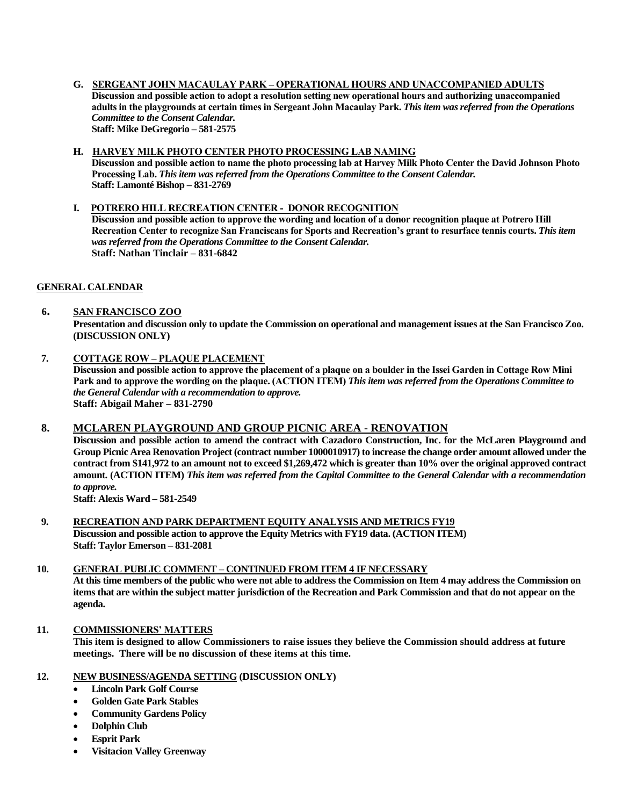# **G. SERGEANT JOHN MACAULAY PARK – OPERATIONAL HOURS AND UNACCOMPANIED ADULTS**

**Discussion and possible action to adopt a resolution setting new operational hours and authorizing unaccompanied adults in the playgrounds at certain times in Sergeant John Macaulay Park.** *This item was referred from the Operations Committee to the Consent Calendar.* **Staff: Mike DeGregorio – 581-2575**

# **H. HARVEY MILK PHOTO CENTER PHOTO PROCESSING LAB NAMING**

**Discussion and possible action to name the photo processing lab at Harvey Milk Photo Center the David Johnson Photo Processing Lab.** *This item was referred from the Operations Committee to the Consent Calendar.* **Staff: Lamonté Bishop – 831-2769**

# **I. POTRERO HILL RECREATION CENTER - DONOR RECOGNITION**

**Discussion and possible action to approve the wording and location of a donor recognition plaque at Potrero Hill Recreation Center to recognize San Franciscans for Sports and Recreation's grant to resurface tennis courts.** *This item was referred from the Operations Committee to the Consent Calendar.* **Staff: Nathan Tinclair – 831-6842**

# **GENERAL CALENDAR**

# **6. SAN FRANCISCO ZOO**

**Presentation and discussion only to update the Commission on operational and management issues at the San Francisco Zoo. (DISCUSSION ONLY)**

# **7. COTTAGE ROW – PLAQUE PLACEMENT**

**Discussion and possible action to approve the placement of a plaque on a boulder in the Issei Garden in Cottage Row Mini Park and to approve the wording on the plaque. (ACTION ITEM)** *This item was referred from the Operations Committee to the General Calendar with a recommendation to approve.* **Staff: Abigail Maher – 831-2790**

# **8. MCLAREN PLAYGROUND AND GROUP PICNIC AREA - RENOVATION**

**Discussion and possible action to amend the contract with Cazadoro Construction, Inc. for the McLaren Playground and Group Picnic Area Renovation Project (contract number 1000010917) to increase the change order amount allowed under the contract from \$141,972 to an amount not to exceed \$1,269,472 which is greater than 10% over the original approved contract amount. (ACTION ITEM)** *This item was referred from the Capital Committee to the General Calendar with a recommendation to approve.*

**Staff: Alexis Ward – 581-2549**

# **9. RECREATION AND PARK DEPARTMENT EQUITY ANALYSIS AND METRICS FY19 Discussion and possible action to approve the Equity Metrics with FY19 data. (ACTION ITEM) Staff: Taylor Emerson – 831-2081**

#### **10. GENERAL PUBLIC COMMENT – CONTINUED FROM ITEM 4 IF NECESSARY**

**At this time members of the public who were not able to address the Commission on Item 4 may address the Commission on items that are within the subject matter jurisdiction of the Recreation and Park Commission and that do not appear on the agenda.**

# **11. COMMISSIONERS' MATTERS**

**This item is designed to allow Commissioners to raise issues they believe the Commission should address at future meetings. There will be no discussion of these items at this time.**

# **12. NEW BUSINESS/AGENDA SETTING (DISCUSSION ONLY)**

- **Lincoln Park Golf Course**
- **Golden Gate Park Stables**
- **Community Gardens Policy**
- **Dolphin Club**
- **Esprit Park**
- **Visitacion Valley Greenway**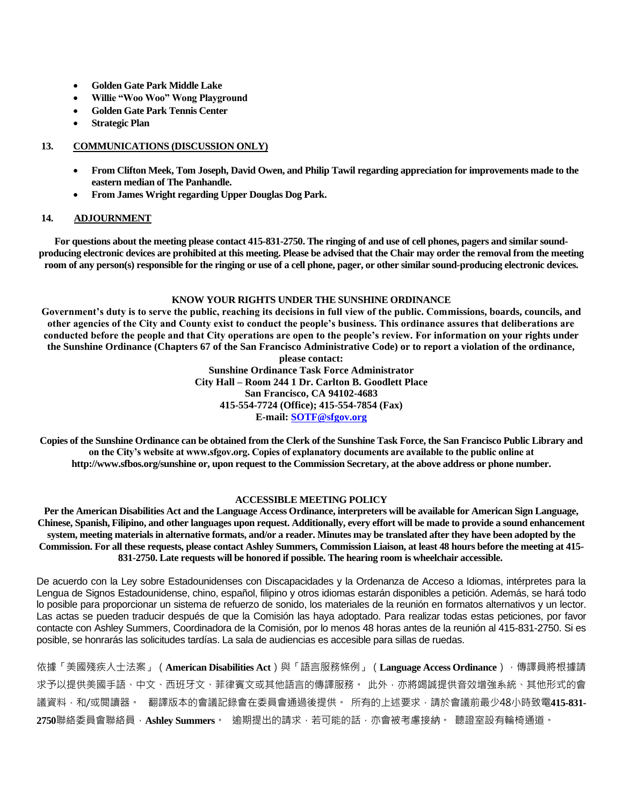- **Golden Gate Park Middle Lake**
- **Willie "Woo Woo" Wong Playground**
- **Golden Gate Park Tennis Center**
- **Strategic Plan**

# **13. COMMUNICATIONS (DISCUSSION ONLY)**

- **From Clifton Meek, Tom Joseph, David Owen, and Philip Tawil regarding appreciation for improvements made to the eastern median of The Panhandle.**
- **From James Wright regarding Upper Douglas Dog Park.**

# **14. ADJOURNMENT**

**For questions about the meeting please contact 415-831-2750. The ringing of and use of cell phones, pagers and similar soundproducing electronic devices are prohibited at this meeting. Please be advised that the Chair may order the removal from the meeting room of any person(s) responsible for the ringing or use of a cell phone, pager, or other similar sound-producing electronic devices.**

# **KNOW YOUR RIGHTS UNDER THE SUNSHINE ORDINANCE**

**Government's duty is to serve the public, reaching its decisions in full view of the public. Commissions, boards, councils, and other agencies of the City and County exist to conduct the people's business. This ordinance assures that deliberations are conducted before the people and that City operations are open to the people's review. For information on your rights under the Sunshine Ordinance (Chapters 67 of the San Francisco Administrative Code) or to report a violation of the ordinance,** 

**please contact: Sunshine Ordinance Task Force Administrator City Hall – Room 244 1 Dr. Carlton B. Goodlett Place San Francisco, CA 94102-4683 415-554-7724 (Office); 415-554-7854 (Fax) E-mail: [SOTF@sfgov.org](mailto:SOTF@sfgov.org)**

**Copies of the Sunshine Ordinance can be obtained from the Clerk of the Sunshine Task Force, the San Francisco Public Library and on the City's website at www.sfgov.org. Copies of explanatory documents are available to the public online at [http://www.sfbos.org/sunshine](http://www.sfgov.org/sunshine) or, upon request to the Commission Secretary, at the above address or phone number.**

#### **ACCESSIBLE MEETING POLICY**

**Per the American Disabilities Act and the Language Access Ordinance, interpreters will be available for American Sign Language, Chinese, Spanish, Filipino, and other languages upon request. Additionally, every effort will be made to provide a sound enhancement system, meeting materials in alternative formats, and/or a reader. Minutes may be translated after they have been adopted by the Commission. For all these requests, please contact Ashley Summers, Commission Liaison, at least 48 hours before the meeting at 415- 831-2750. Late requests will be honored if possible. The hearing room is wheelchair accessible.**

De acuerdo con la Ley sobre Estadounidenses con Discapacidades y la Ordenanza de Acceso a Idiomas, intérpretes para la Lengua de Signos Estadounidense, chino, español, filipino y otros idiomas estarán disponibles a petición. Además, se hará todo lo posible para proporcionar un sistema de refuerzo de sonido, los materiales de la reunión en formatos alternativos y un lector. Las actas se pueden traducir después de que la Comisión las haya adoptado. Para realizar todas estas peticiones, por favor contacte con Ashley Summers, Coordinadora de la Comisión, por lo menos 48 horas antes de la reunión al 415-831-2750. Si es posible, se honrarás las solicitudes tardías. La sala de audiencias es accesible para sillas de ruedas.

依據「美國殘疾人士法案」(**American Disabilities Act**)與「語言服務條例」(**Language Access Ordinance**),傳譯員將根據請 求予以提供美國手語、中文、西班牙文、菲律賓文或其他語言的傳譯服務。 此外,亦將竭誠提供音效增強系統、其他形式的會 議資料·和/或閱讀器。 翻譯版本的會議記錄會在委員會通過後提供。 所有的上述要求·請於會議前最少48小時致電415-831-**2750**聯絡委員會聯絡員,**Ashley Summers**。 逾期提出的請求,若可能的話,亦會被考慮接納。 聽證室設有輪椅通道。